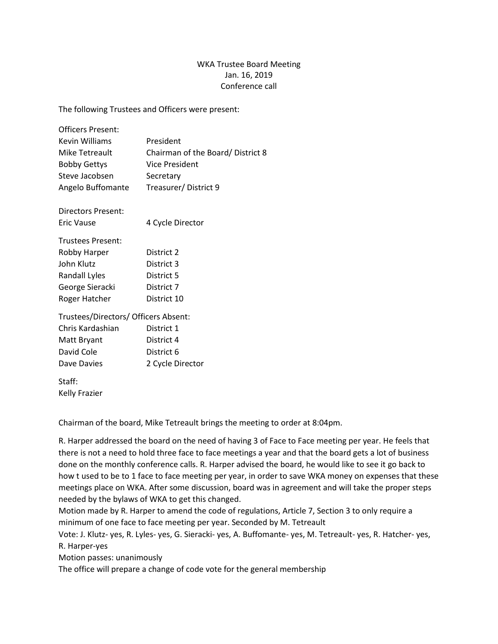## WKA Trustee Board Meeting Jan. 16, 2019 Conference call

The following Trustees and Officers were present:

| <b>Officers Present:</b>             |                                  |
|--------------------------------------|----------------------------------|
| Kevin Williams                       | President                        |
| Mike Tetreault                       | Chairman of the Board/District 8 |
| <b>Bobby Gettys</b>                  | <b>Vice President</b>            |
| Steve Jacobsen                       | Secretary                        |
| Angelo Buffomante                    | Treasurer/District 9             |
| Directors Present:                   |                                  |
| <b>Eric Vause</b>                    | 4 Cycle Director                 |
| <b>Trustees Present:</b>             |                                  |
| Robby Harper                         | District 2                       |
| John Klutz                           | District 3                       |
| Randall Lyles                        | District 5                       |
| George Sieracki                      | District 7                       |
| Roger Hatcher                        | District 10                      |
| Trustees/Directors/ Officers Absent: |                                  |
| Chris Kardashian                     | District 1                       |
| Matt Bryant                          | District 4                       |
| David Cole                           | District 6                       |
| Dave Davies                          | 2 Cycle Director                 |
| Staff:                               |                                  |
| <b>Kelly Frazier</b>                 |                                  |

Chairman of the board, Mike Tetreault brings the meeting to order at 8:04pm.

R. Harper addressed the board on the need of having 3 of Face to Face meeting per year. He feels that there is not a need to hold three face to face meetings a year and that the board gets a lot of business done on the monthly conference calls. R. Harper advised the board, he would like to see it go back to how t used to be to 1 face to face meeting per year, in order to save WKA money on expenses that these meetings place on WKA. After some discussion, board was in agreement and will take the proper steps needed by the bylaws of WKA to get this changed.

Motion made by R. Harper to amend the code of regulations, Article 7, Section 3 to only require a minimum of one face to face meeting per year. Seconded by M. Tetreault

Vote: J. Klutz- yes, R. Lyles- yes, G. Sieracki- yes, A. Buffomante- yes, M. Tetreault- yes, R. Hatcher- yes, R. Harper-yes

Motion passes: unanimously

The office will prepare a change of code vote for the general membership